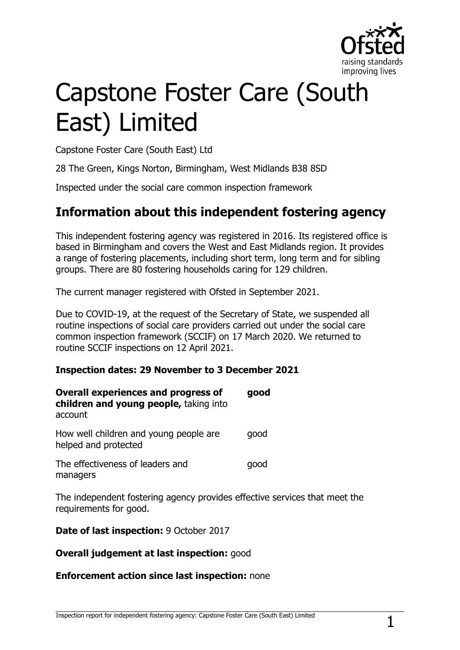

# Capstone Foster Care (South East) Limited

Capstone Foster Care (South East) Ltd

28 The Green, Kings Norton, Birmingham, West Midlands B38 8SD

Inspected under the social care common inspection framework

## **Information about this independent fostering agency**

This independent fostering agency was registered in 2016. Its registered office is based in Birmingham and covers the West and East Midlands region. It provides a range of fostering placements, including short term, long term and for sibling groups. There are 80 fostering households caring for 129 children.

The current manager registered with Ofsted in September 2021.

Due to COVID-19, at the request of the Secretary of State, we suspended all routine inspections of social care providers carried out under the social care common inspection framework (SCCIF) on 17 March 2020. We returned to routine SCCIF inspections on 12 April 2021.

#### **Inspection dates: 29 November to 3 December 2021**

| <b>Overall experiences and progress of</b><br>children and young people, taking into<br>account | good |
|-------------------------------------------------------------------------------------------------|------|
| How well children and young people are<br>helped and protected                                  | qood |
| The effectiveness of leaders and<br>managers                                                    | good |

The independent fostering agency provides effective services that meet the requirements for good.

**Date of last inspection:** 9 October 2017

#### **Overall judgement at last inspection:** good

#### **Enforcement action since last inspection:** none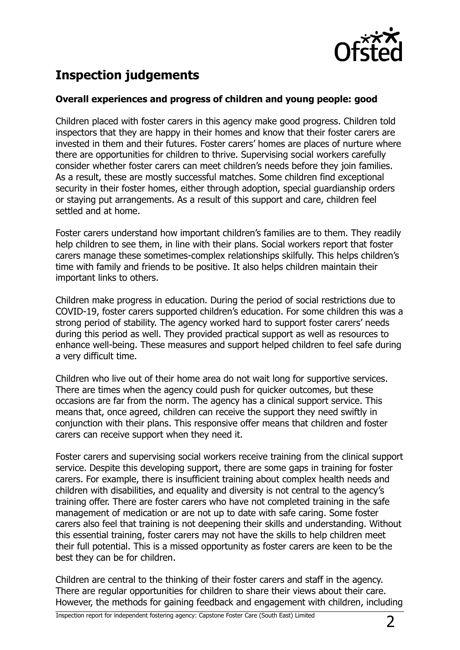

# **Inspection judgements**

#### **Overall experiences and progress of children and young people: good**

Children placed with foster carers in this agency make good progress. Children told inspectors that they are happy in their homes and know that their foster carers are invested in them and their futures. Foster carers' homes are places of nurture where there are opportunities for children to thrive. Supervising social workers carefully consider whether foster carers can meet children's needs before they join families. As a result, these are mostly successful matches. Some children find exceptional security in their foster homes, either through adoption, special guardianship orders or staying put arrangements. As a result of this support and care, children feel settled and at home.

Foster carers understand how important children's families are to them. They readily help children to see them, in line with their plans. Social workers report that foster carers manage these sometimes-complex relationships skilfully. This helps children's time with family and friends to be positive. It also helps children maintain their important links to others.

Children make progress in education. During the period of social restrictions due to COVID-19, foster carers supported children's education. For some children this was a strong period of stability. The agency worked hard to support foster carers' needs during this period as well. They provided practical support as well as resources to enhance well-being. These measures and support helped children to feel safe during a very difficult time.

Children who live out of their home area do not wait long for supportive services. There are times when the agency could push for quicker outcomes, but these occasions are far from the norm. The agency has a clinical support service. This means that, once agreed, children can receive the support they need swiftly in conjunction with their plans. This responsive offer means that children and foster carers can receive support when they need it.

Foster carers and supervising social workers receive training from the clinical support service. Despite this developing support, there are some gaps in training for foster carers. For example, there is insufficient training about complex health needs and children with disabilities, and equality and diversity is not central to the agency's training offer. There are foster carers who have not completed training in the safe management of medication or are not up to date with safe caring. Some foster carers also feel that training is not deepening their skills and understanding. Without this essential training, foster carers may not have the skills to help children meet their full potential. This is a missed opportunity as foster carers are keen to be the best they can be for children.

Children are central to the thinking of their foster carers and staff in the agency. There are regular opportunities for children to share their views about their care. However, the methods for gaining feedback and engagement with children, including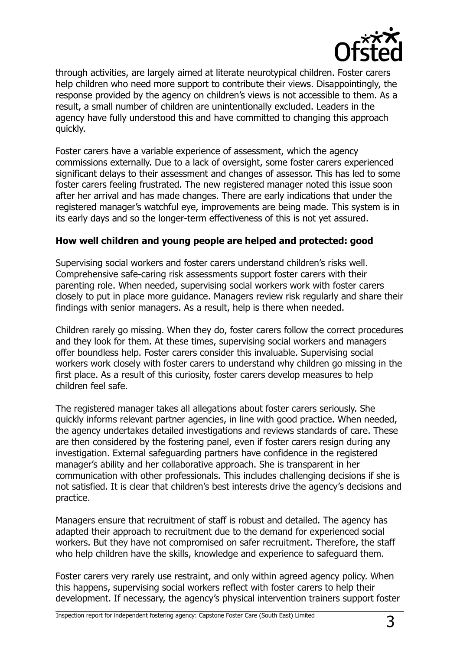

through activities, are largely aimed at literate neurotypical children. Foster carers help children who need more support to contribute their views. Disappointingly, the response provided by the agency on children's views is not accessible to them. As a result, a small number of children are unintentionally excluded. Leaders in the agency have fully understood this and have committed to changing this approach quickly.

Foster carers have a variable experience of assessment, which the agency commissions externally. Due to a lack of oversight, some foster carers experienced significant delays to their assessment and changes of assessor. This has led to some foster carers feeling frustrated. The new registered manager noted this issue soon after her arrival and has made changes. There are early indications that under the registered manager's watchful eye, improvements are being made. This system is in its early days and so the longer-term effectiveness of this is not yet assured.

#### **How well children and young people are helped and protected: good**

Supervising social workers and foster carers understand children's risks well. Comprehensive safe-caring risk assessments support foster carers with their parenting role. When needed, supervising social workers work with foster carers closely to put in place more guidance. Managers review risk regularly and share their findings with senior managers. As a result, help is there when needed.

Children rarely go missing. When they do, foster carers follow the correct procedures and they look for them. At these times, supervising social workers and managers offer boundless help. Foster carers consider this invaluable. Supervising social workers work closely with foster carers to understand why children go missing in the first place. As a result of this curiosity, foster carers develop measures to help children feel safe.

The registered manager takes all allegations about foster carers seriously. She quickly informs relevant partner agencies, in line with good practice. When needed, the agency undertakes detailed investigations and reviews standards of care. These are then considered by the fostering panel, even if foster carers resign during any investigation. External safeguarding partners have confidence in the registered manager's ability and her collaborative approach. She is transparent in her communication with other professionals. This includes challenging decisions if she is not satisfied. It is clear that children's best interests drive the agency's decisions and practice.

Managers ensure that recruitment of staff is robust and detailed. The agency has adapted their approach to recruitment due to the demand for experienced social workers. But they have not compromised on safer recruitment. Therefore, the staff who help children have the skills, knowledge and experience to safeguard them.

Foster carers very rarely use restraint, and only within agreed agency policy. When this happens, supervising social workers reflect with foster carers to help their development. If necessary, the agency's physical intervention trainers support foster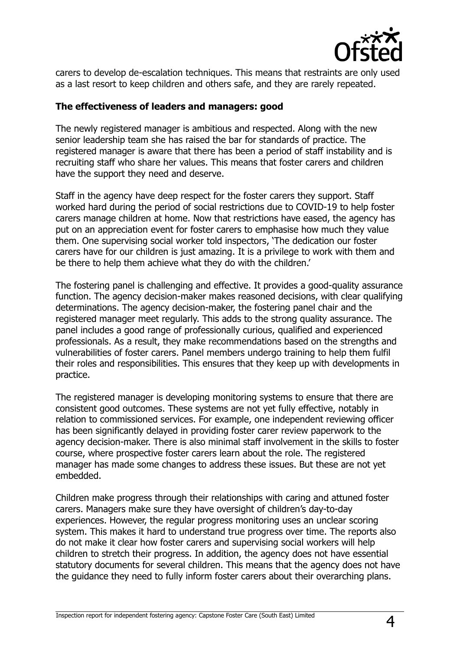

carers to develop de-escalation techniques. This means that restraints are only used as a last resort to keep children and others safe, and they are rarely repeated.

#### **The effectiveness of leaders and managers: good**

The newly registered manager is ambitious and respected. Along with the new senior leadership team she has raised the bar for standards of practice. The registered manager is aware that there has been a period of staff instability and is recruiting staff who share her values. This means that foster carers and children have the support they need and deserve.

Staff in the agency have deep respect for the foster carers they support. Staff worked hard during the period of social restrictions due to COVID-19 to help foster carers manage children at home. Now that restrictions have eased, the agency has put on an appreciation event for foster carers to emphasise how much they value them. One supervising social worker told inspectors, 'The dedication our foster carers have for our children is just amazing. It is a privilege to work with them and be there to help them achieve what they do with the children.'

The fostering panel is challenging and effective. It provides a good-quality assurance function. The agency decision-maker makes reasoned decisions, with clear qualifying determinations. The agency decision-maker, the fostering panel chair and the registered manager meet regularly. This adds to the strong quality assurance. The panel includes a good range of professionally curious, qualified and experienced professionals. As a result, they make recommendations based on the strengths and vulnerabilities of foster carers. Panel members undergo training to help them fulfil their roles and responsibilities. This ensures that they keep up with developments in practice.

The registered manager is developing monitoring systems to ensure that there are consistent good outcomes. These systems are not yet fully effective, notably in relation to commissioned services. For example, one independent reviewing officer has been significantly delayed in providing foster carer review paperwork to the agency decision-maker. There is also minimal staff involvement in the skills to foster course, where prospective foster carers learn about the role. The registered manager has made some changes to address these issues. But these are not yet embedded.

Children make progress through their relationships with caring and attuned foster carers. Managers make sure they have oversight of children's day-to-day experiences. However, the regular progress monitoring uses an unclear scoring system. This makes it hard to understand true progress over time. The reports also do not make it clear how foster carers and supervising social workers will help children to stretch their progress. In addition, the agency does not have essential statutory documents for several children. This means that the agency does not have the guidance they need to fully inform foster carers about their overarching plans.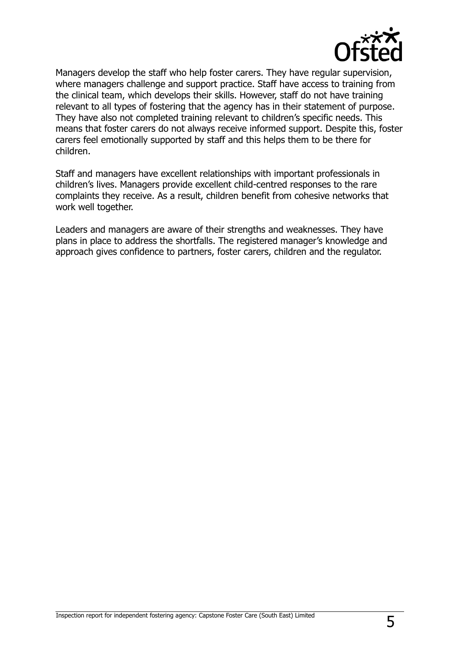

Managers develop the staff who help foster carers. They have regular supervision, where managers challenge and support practice. Staff have access to training from the clinical team, which develops their skills. However, staff do not have training relevant to all types of fostering that the agency has in their statement of purpose. They have also not completed training relevant to children's specific needs. This means that foster carers do not always receive informed support. Despite this, foster carers feel emotionally supported by staff and this helps them to be there for children.

Staff and managers have excellent relationships with important professionals in children's lives. Managers provide excellent child-centred responses to the rare complaints they receive. As a result, children benefit from cohesive networks that work well together.

Leaders and managers are aware of their strengths and weaknesses. They have plans in place to address the shortfalls. The registered manager's knowledge and approach gives confidence to partners, foster carers, children and the regulator.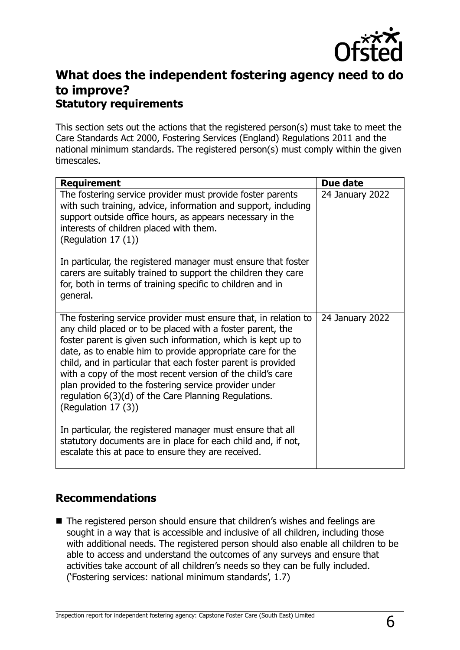

## **What does the independent fostering agency need to do to improve? Statutory requirements**

This section sets out the actions that the registered person(s) must take to meet the Care Standards Act 2000, Fostering Services (England) Regulations 2011 and the national minimum standards. The registered person(s) must comply within the given timescales.

| <b>Requirement</b>                                                                                                                                                                                                                                                                                                                                                                                                                                                                                                                  | Due date        |
|-------------------------------------------------------------------------------------------------------------------------------------------------------------------------------------------------------------------------------------------------------------------------------------------------------------------------------------------------------------------------------------------------------------------------------------------------------------------------------------------------------------------------------------|-----------------|
| The fostering service provider must provide foster parents<br>with such training, advice, information and support, including<br>support outside office hours, as appears necessary in the<br>interests of children placed with them.<br>(Regulation $17(1)$ )                                                                                                                                                                                                                                                                       | 24 January 2022 |
| In particular, the registered manager must ensure that foster<br>carers are suitably trained to support the children they care<br>for, both in terms of training specific to children and in<br>general.                                                                                                                                                                                                                                                                                                                            |                 |
| The fostering service provider must ensure that, in relation to<br>any child placed or to be placed with a foster parent, the<br>foster parent is given such information, which is kept up to<br>date, as to enable him to provide appropriate care for the<br>child, and in particular that each foster parent is provided<br>with a copy of the most recent version of the child's care<br>plan provided to the fostering service provider under<br>regulation 6(3)(d) of the Care Planning Regulations.<br>(Regulation $17(3)$ ) | 24 January 2022 |
| In particular, the registered manager must ensure that all<br>statutory documents are in place for each child and, if not,<br>escalate this at pace to ensure they are received.                                                                                                                                                                                                                                                                                                                                                    |                 |

### **Recommendations**

■ The registered person should ensure that children's wishes and feelings are sought in a way that is accessible and inclusive of all children, including those with additional needs. The registered person should also enable all children to be able to access and understand the outcomes of any surveys and ensure that activities take account of all children's needs so they can be fully included. ('Fostering services: national minimum standards', 1.7)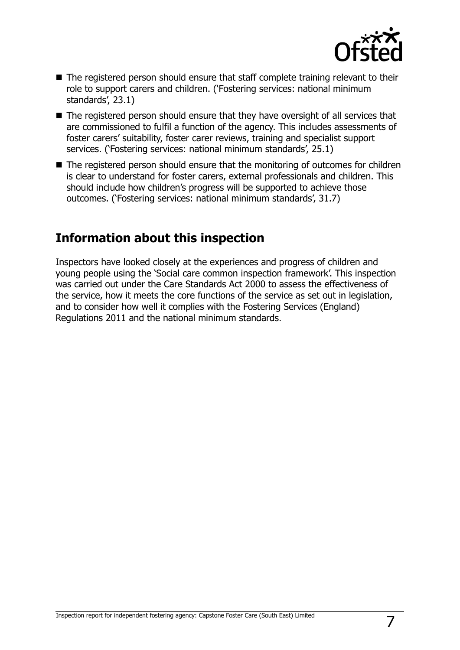

- The registered person should ensure that staff complete training relevant to their role to support carers and children. ('Fostering services: national minimum standards', 23.1)
- The registered person should ensure that they have oversight of all services that are commissioned to fulfil a function of the agency. This includes assessments of foster carers' suitability, foster carer reviews, training and specialist support services. ('Fostering services: national minimum standards', 25.1)
- The registered person should ensure that the monitoring of outcomes for children is clear to understand for foster carers, external professionals and children. This should include how children's progress will be supported to achieve those outcomes. ('Fostering services: national minimum standards', 31.7)

## **Information about this inspection**

Inspectors have looked closely at the experiences and progress of children and young people using the 'Social care common inspection framework'. This inspection was carried out under the Care Standards Act 2000 to assess the effectiveness of the service, how it meets the core functions of the service as set out in legislation, and to consider how well it complies with the Fostering Services (England) Regulations 2011 and the national minimum standards.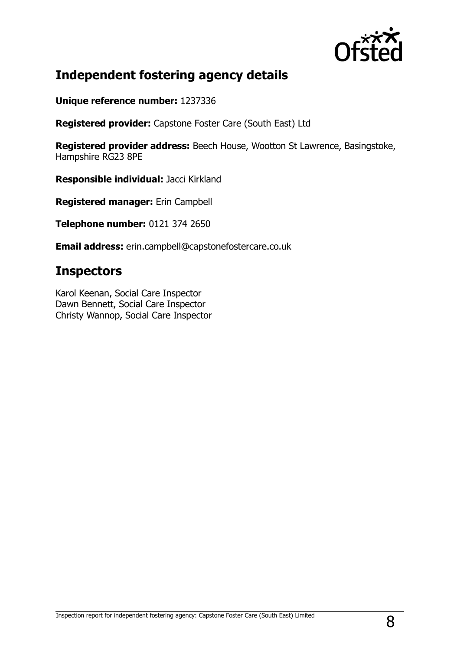

## **Independent fostering agency details**

**Unique reference number:** 1237336

**Registered provider:** Capstone Foster Care (South East) Ltd

**Registered provider address:** Beech House, Wootton St Lawrence, Basingstoke, Hampshire RG23 8PE

**Responsible individual:** Jacci Kirkland

**Registered manager:** Erin Campbell

**Telephone number:** 0121 374 2650

**Email address:** erin.campbell@capstonefostercare.co.uk

## **Inspectors**

Karol Keenan, Social Care Inspector Dawn Bennett, Social Care Inspector Christy Wannop, Social Care Inspector